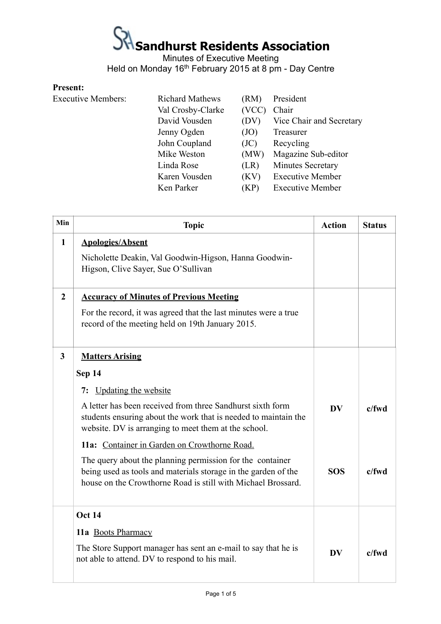### $\frac{1}{\sqrt{2}}$  Sandhurst Residents Association

Minutes of Executive Meeting Held on Monday 16<sup>th</sup> February 2015 at 8 pm - Day Centre

### **Present:**

| <b>Executive Members:</b> | <b>Richard Mathews</b> | (RM)  | President                |
|---------------------------|------------------------|-------|--------------------------|
|                           |                        |       |                          |
|                           | Val Crosby-Clarke      | (VCC) | Chair                    |
|                           | David Vousden          | (DV)  | Vice Chair and Secretary |
|                           | Jenny Ogden            | (JO)  | Treasurer                |
|                           | John Coupland          | (JC)  | Recycling                |
|                           | Mike Weston            | (MW)  | Magazine Sub-editor      |
|                           | Linda Rose             | (LR)  | Minutes Secretary        |
|                           | Karen Vousden          | (KV)  | <b>Executive Member</b>  |
|                           | Ken Parker             | (KP)  | <b>Executive Member</b>  |

| Min              | <b>Topic</b>                                                                                                                                                                                | <b>Action</b> | <b>Status</b> |
|------------------|---------------------------------------------------------------------------------------------------------------------------------------------------------------------------------------------|---------------|---------------|
| $\mathbf{1}$     | <b>Apologies/Absent</b>                                                                                                                                                                     |               |               |
|                  | Nicholette Deakin, Val Goodwin-Higson, Hanna Goodwin-<br>Higson, Clive Sayer, Sue O'Sullivan                                                                                                |               |               |
| $\boldsymbol{2}$ | <b>Accuracy of Minutes of Previous Meeting</b>                                                                                                                                              |               |               |
|                  | For the record, it was agreed that the last minutes were a true<br>record of the meeting held on 19th January 2015.                                                                         |               |               |
| $\mathbf{3}$     | <b>Matters Arising</b>                                                                                                                                                                      |               |               |
|                  | Sep 14                                                                                                                                                                                      |               |               |
|                  | 7: Updating the website                                                                                                                                                                     |               |               |
|                  | A letter has been received from three Sandhurst sixth form<br>students ensuring about the work that is needed to maintain the<br>website. DV is arranging to meet them at the school.       | <b>DV</b>     | $c$ /fwd      |
|                  | 11a: Container in Garden on Crowthorne Road.                                                                                                                                                |               |               |
|                  | The query about the planning permission for the container<br>being used as tools and materials storage in the garden of the<br>house on the Crowthorne Road is still with Michael Brossard. | <b>SOS</b>    | $c$ /fwd      |
|                  | <b>Oct 14</b>                                                                                                                                                                               |               |               |
|                  | 11a Boots Pharmacy                                                                                                                                                                          |               |               |
|                  | The Store Support manager has sent an e-mail to say that he is<br>not able to attend. DV to respond to his mail.                                                                            | <b>DV</b>     | $c$ /fwd      |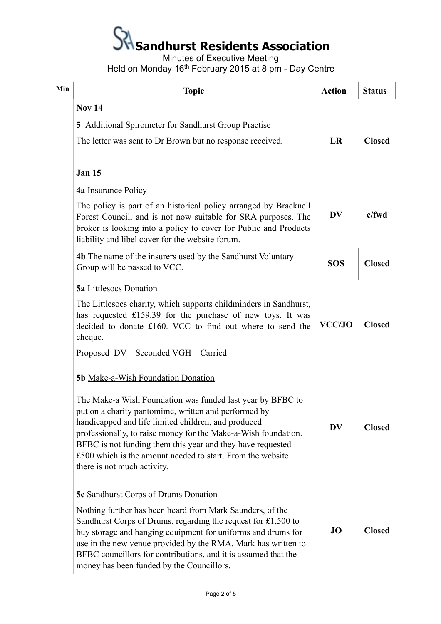## $S<sup>2</sup>$  Sandhurst Residents Association

Minutes of Executive Meeting

Held on Monday 16th February 2015 at 8 pm - Day Centre

| Min | <b>Topic</b>                                                                                                                                                                                                                                                                                                                                                                                           | <b>Action</b> | <b>Status</b> |
|-----|--------------------------------------------------------------------------------------------------------------------------------------------------------------------------------------------------------------------------------------------------------------------------------------------------------------------------------------------------------------------------------------------------------|---------------|---------------|
|     | <b>Nov 14</b>                                                                                                                                                                                                                                                                                                                                                                                          |               |               |
|     | 5 Additional Spirometer for Sandhurst Group Practise                                                                                                                                                                                                                                                                                                                                                   |               |               |
|     | The letter was sent to Dr Brown but no response received.                                                                                                                                                                                                                                                                                                                                              | LR            | <b>Closed</b> |
|     | <b>Jan 15</b>                                                                                                                                                                                                                                                                                                                                                                                          |               |               |
|     | 4a Insurance Policy                                                                                                                                                                                                                                                                                                                                                                                    |               |               |
|     | The policy is part of an historical policy arranged by Bracknell<br>Forest Council, and is not now suitable for SRA purposes. The<br>broker is looking into a policy to cover for Public and Products<br>liability and libel cover for the website forum.                                                                                                                                              | <b>DV</b>     | $c$ /fwd      |
|     | <b>4b</b> The name of the insurers used by the Sandhurst Voluntary<br>Group will be passed to VCC.                                                                                                                                                                                                                                                                                                     | <b>SOS</b>    | <b>Closed</b> |
|     | <b>5a</b> Littlesocs Donation                                                                                                                                                                                                                                                                                                                                                                          |               |               |
|     | The Littlesocs charity, which supports childminders in Sandhurst,<br>has requested £159.39 for the purchase of new toys. It was<br>decided to donate £160. VCC to find out where to send the<br>cheque.                                                                                                                                                                                                | <b>VCC/JO</b> | <b>Closed</b> |
|     | Proposed DV Seconded VGH Carried                                                                                                                                                                                                                                                                                                                                                                       |               |               |
|     | 5b Make-a-Wish Foundation Donation                                                                                                                                                                                                                                                                                                                                                                     |               |               |
|     | The Make-a Wish Foundation was funded last year by BFBC to<br>put on a charity pantomime, written and performed by<br>handicapped and life limited children, and produced<br>professionally, to raise money for the Make-a-Wish foundation.<br>BFBC is not funding them this year and they have requested<br>£500 which is the amount needed to start. From the website<br>there is not much activity. | <b>DV</b>     | <b>Closed</b> |
|     | <b>5c</b> Sandhurst Corps of Drums Donation                                                                                                                                                                                                                                                                                                                                                            |               |               |
|     | Nothing further has been heard from Mark Saunders, of the<br>Sandhurst Corps of Drums, regarding the request for $£1,500$ to<br>buy storage and hanging equipment for uniforms and drums for<br>use in the new venue provided by the RMA. Mark has written to<br>BFBC councillors for contributions, and it is assumed that the<br>money has been funded by the Councillors.                           | <b>JO</b>     | <b>Closed</b> |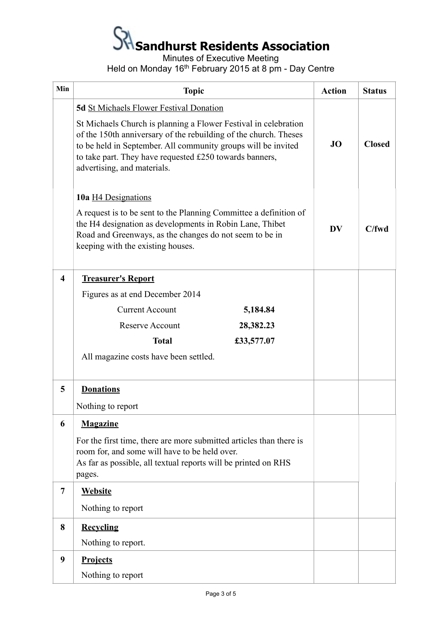# **Sandhurst Residents Association**

Minutes of Executive Meeting

Held on Monday 16<sup>th</sup> February 2015 at 8 pm - Day Centre

| Min | <b>Topic</b>                                                                                                                                                                                                                                                                                   | <b>Action</b> | <b>Status</b> |
|-----|------------------------------------------------------------------------------------------------------------------------------------------------------------------------------------------------------------------------------------------------------------------------------------------------|---------------|---------------|
|     | <b>5d</b> St Michaels Flower Festival Donation                                                                                                                                                                                                                                                 |               |               |
|     | St Michaels Church is planning a Flower Festival in celebration<br>of the 150th anniversary of the rebuilding of the church. Theses<br>to be held in September. All community groups will be invited<br>to take part. They have requested £250 towards banners,<br>advertising, and materials. | <b>JO</b>     | <b>Closed</b> |
|     | 10a H4 Designations                                                                                                                                                                                                                                                                            |               |               |
|     | A request is to be sent to the Planning Committee a definition of<br>the H4 designation as developments in Robin Lane, Thibet<br>Road and Greenways, as the changes do not seem to be in<br>keeping with the existing houses.                                                                  | DV            | C/fwd         |
| 4   | <b>Treasurer's Report</b>                                                                                                                                                                                                                                                                      |               |               |
|     | Figures as at end December 2014                                                                                                                                                                                                                                                                |               |               |
|     | <b>Current Account</b><br>5,184.84                                                                                                                                                                                                                                                             |               |               |
|     | <b>Reserve Account</b><br>28,382.23                                                                                                                                                                                                                                                            |               |               |
|     | <b>Total</b><br>£33,577.07                                                                                                                                                                                                                                                                     |               |               |
|     | All magazine costs have been settled.                                                                                                                                                                                                                                                          |               |               |
| 5   | <b>Donations</b>                                                                                                                                                                                                                                                                               |               |               |
|     | Nothing to report                                                                                                                                                                                                                                                                              |               |               |
| 6   | <b>Magazine</b>                                                                                                                                                                                                                                                                                |               |               |
|     | For the first time, there are more submitted articles than there is<br>room for, and some will have to be held over.<br>As far as possible, all textual reports will be printed on RHS<br>pages.                                                                                               |               |               |
| 7   | <b>Website</b>                                                                                                                                                                                                                                                                                 |               |               |
|     | Nothing to report                                                                                                                                                                                                                                                                              |               |               |
| 8   | <b>Recycling</b>                                                                                                                                                                                                                                                                               |               |               |
|     | Nothing to report.                                                                                                                                                                                                                                                                             |               |               |
| 9   | <b>Projects</b>                                                                                                                                                                                                                                                                                |               |               |
|     | Nothing to report                                                                                                                                                                                                                                                                              |               |               |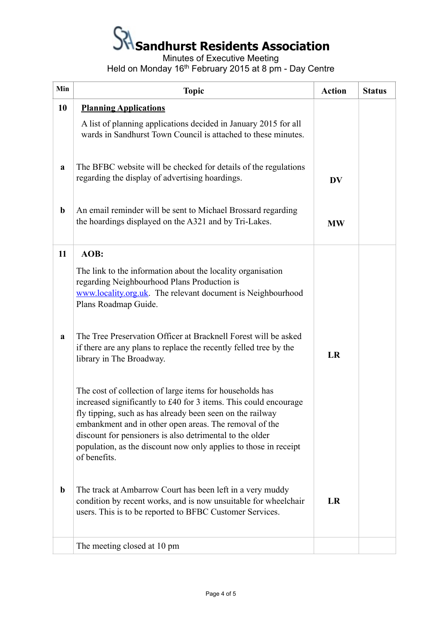# **Sandhurst Residents Association**

Minutes of Executive Meeting

Held on Monday 16<sup>th</sup> February 2015 at 8 pm - Day Centre

| Min         | <b>Topic</b>                                                                                                                                                                                                                                                                                                                                                                                        | <b>Action</b> | <b>Status</b> |
|-------------|-----------------------------------------------------------------------------------------------------------------------------------------------------------------------------------------------------------------------------------------------------------------------------------------------------------------------------------------------------------------------------------------------------|---------------|---------------|
| 10          | <b>Planning Applications</b>                                                                                                                                                                                                                                                                                                                                                                        |               |               |
|             | A list of planning applications decided in January 2015 for all<br>wards in Sandhurst Town Council is attached to these minutes.                                                                                                                                                                                                                                                                    |               |               |
| a           | The BFBC website will be checked for details of the regulations<br>regarding the display of advertising hoardings.                                                                                                                                                                                                                                                                                  | <b>DV</b>     |               |
| $\mathbf b$ | An email reminder will be sent to Michael Brossard regarding<br>the hoardings displayed on the A321 and by Tri-Lakes.                                                                                                                                                                                                                                                                               | <b>MW</b>     |               |
| 11          | AOB:                                                                                                                                                                                                                                                                                                                                                                                                |               |               |
|             | The link to the information about the locality organisation<br>regarding Neighbourhood Plans Production is<br>www.locality.org.uk. The relevant document is Neighbourhood<br>Plans Roadmap Guide.                                                                                                                                                                                                   |               |               |
| a           | The Tree Preservation Officer at Bracknell Forest will be asked<br>if there are any plans to replace the recently felled tree by the<br>library in The Broadway.                                                                                                                                                                                                                                    | LR            |               |
|             | The cost of collection of large items for households has<br>increased significantly to £40 for 3 items. This could encourage<br>fly tipping, such as has already been seen on the railway<br>embankment and in other open areas. The removal of the<br>discount for pensioners is also detrimental to the older<br>population, as the discount now only applies to those in receipt<br>of benefits. |               |               |
| $\mathbf b$ | The track at Ambarrow Court has been left in a very muddy<br>condition by recent works, and is now unsuitable for wheelchair<br>users. This is to be reported to BFBC Customer Services.                                                                                                                                                                                                            | LR            |               |
|             | The meeting closed at 10 pm                                                                                                                                                                                                                                                                                                                                                                         |               |               |